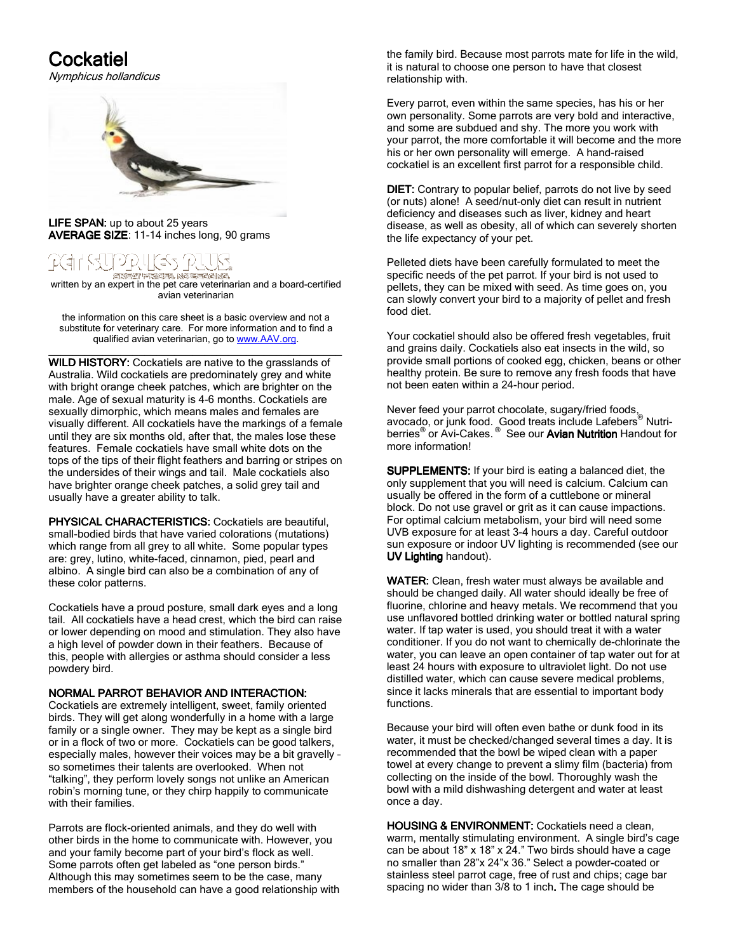## Cockatiel

Nymphicus hollandicus



LIFE SPAN: up to about 25 years AVERAGE SIZE: 11-14 inches long, 90 grams

# (=ี\วิ

\_<br>written by an expert in the pet care veterinarian and a board-certified avian veterinarian

the information on this care sheet is a basic overview and not a substitute for veterinary care. For more information and to find a qualified avian veterinarian, go to www.AAV.org.

\_\_\_\_\_\_\_\_\_\_\_\_\_\_\_\_\_\_\_\_\_\_\_\_\_\_\_\_\_\_\_\_\_\_\_\_\_\_\_\_\_\_\_\_\_\_\_\_\_ \_\_\_\_\_\_\_\_\_\_\_\_\_\_\_\_\_\_\_\_\_\_\_\_\_\_\_\_\_\_\_\_\_\_\_\_\_\_\_\_\_\_\_\_\_\_\_\_\_ WILD HISTORY: Cockatiels are native to the grasslands of Australia. Wild cockatiels are predominately grey and white with bright orange cheek patches, which are brighter on the male. Age of sexual maturity is 4-6 months. Cockatiels are sexually dimorphic, which means males and females are visually different. All cockatiels have the markings of a female until they are six months old, after that, the males lose these features. Female cockatiels have small white dots on the tops of the tips of their flight feathers and barring or stripes on the undersides of their wings and tail. Male cockatiels also have brighter orange cheek patches, a solid grey tail and usually have a greater ability to talk.

PHYSICAL CHARACTERISTICS: Cockatiels are beautiful, small-bodied birds that have varied colorations (mutations) which range from all grey to all white. Some popular types are: grey, lutino, white-faced, cinnamon, pied, pearl and albino. A single bird can also be a combination of any of these color patterns.

Cockatiels have a proud posture, small dark eyes and a long tail. All cockatiels have a head crest, which the bird can raise or lower depending on mood and stimulation. They also have a high level of powder down in their feathers. Because of this, people with allergies or asthma should consider a less powdery bird.

#### NORMAL PARROT BEHAVIOR AND INTERACTION:

Cockatiels are extremely intelligent, sweet, family oriented birds. They will get along wonderfully in a home with a large family or a single owner. They may be kept as a single bird or in a flock of two or more. Cockatiels can be good talkers, especially males, however their voices may be a bit gravelly – so sometimes their talents are overlooked. When not "talking", they perform lovely songs not unlike an American robin's morning tune, or they chirp happily to communicate with their families.

Parrots are flock-oriented animals, and they do well with other birds in the home to communicate with. However, you and your family become part of your bird's flock as well. Some parrots often get labeled as "one person birds." Although this may sometimes seem to be the case, many members of the household can have a good relationship with the family bird. Because most parrots mate for life in the wild, it is natural to choose one person to have that closest relationship with.

Every parrot, even within the same species, has his or her own personality. Some parrots are very bold and interactive, and some are subdued and shy. The more you work with your parrot, the more comfortable it will become and the more his or her own personality will emerge. A hand-raised cockatiel is an excellent first parrot for a responsible child.

DIET: Contrary to popular belief, parrots do not live by seed (or nuts) alone! A seed/nut-only diet can result in nutrient deficiency and diseases such as liver, kidney and heart disease, as well as obesity, all of which can severely shorten the life expectancy of your pet.

Pelleted diets have been carefully formulated to meet the specific needs of the pet parrot. If your bird is not used to pellets, they can be mixed with seed. As time goes on, you can slowly convert your bird to a majority of pellet and fresh food diet.

Your cockatiel should also be offered fresh vegetables, fruit and grains daily. Cockatiels also eat insects in the wild, so provide small portions of cooked egg, chicken, beans or other healthy protein. Be sure to remove any fresh foods that have not been eaten within a 24-hour period.

Never feed your parrot chocolate, sugary/fried foods, avocado, or junk food. Good treats include Lafebers® Nutriberries<sup>®</sup> or Avi-Cakes.<sup>®</sup> See our Avian Nutrition Handout for more information!

SUPPLEMENTS: If your bird is eating a balanced diet, the only supplement that you will need is calcium. Calcium can usually be offered in the form of a cuttlebone or mineral block. Do not use gravel or grit as it can cause impactions. For optimal calcium metabolism, your bird will need some UVB exposure for at least 3-4 hours a day. Careful outdoor sun exposure or indoor UV lighting is recommended (see our UV Lighting handout).

WATER: Clean, fresh water must always be available and should be changed daily. All water should ideally be free of fluorine, chlorine and heavy metals. We recommend that you use unflavored bottled drinking water or bottled natural spring water. If tap water is used, you should treat it with a water conditioner. If you do not want to chemically de-chlorinate the water, you can leave an open container of tap water out for at least 24 hours with exposure to ultraviolet light. Do not use distilled water, which can cause severe medical problems, since it lacks minerals that are essential to important body functions.

Because your bird will often even bathe or dunk food in its water, it must be checked/changed several times a day. It is recommended that the bowl be wiped clean with a paper towel at every change to prevent a slimy film (bacteria) from collecting on the inside of the bowl. Thoroughly wash the bowl with a mild dishwashing detergent and water at least once a day.

HOUSING & ENVIRONMENT: Cockatiels need a clean, warm, mentally stimulating environment. A single bird's cage can be about 18" x 18" x 24." Two birds should have a cage no smaller than 28"x 24"x 36." Select a powder-coated or stainless steel parrot cage, free of rust and chips; cage bar spacing no wider than 3/8 to 1 inch.The cage should be